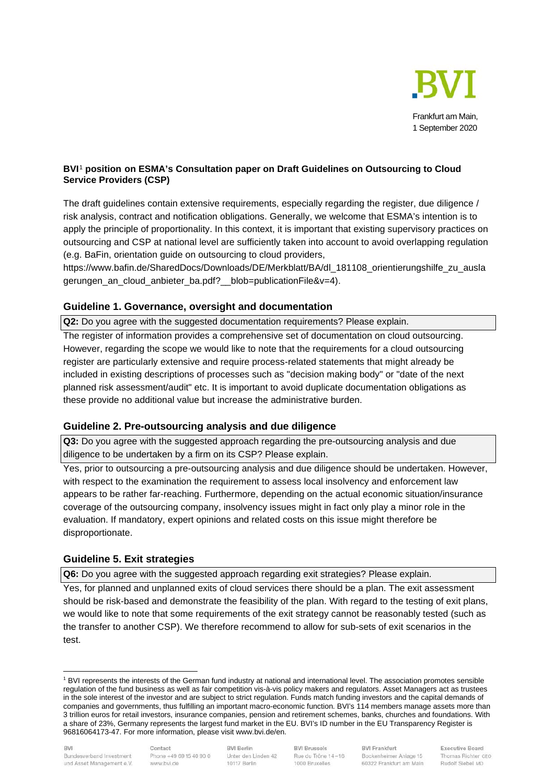

## **BVI**[1](#page-0-0) **position on ESMA's Consultation paper on Draft Guidelines on Outsourcing to Cloud Service Providers (CSP)**

The draft guidelines contain extensive requirements, especially regarding the register, due diligence / risk analysis, contract and notification obligations. Generally, we welcome that ESMA's intention is to apply the principle of proportionality. In this context, it is important that existing supervisory practices on outsourcing and CSP at national level are sufficiently taken into account to avoid overlapping regulation (e.g. BaFin, orientation guide on outsourcing to cloud providers,

https://www.bafin.de/SharedDocs/Downloads/DE/Merkblatt/BA/dl\_181108\_orientierungshilfe\_zu\_ausla gerungen\_an\_cloud\_anbieter\_ba.pdf?\_\_blob=publicationFile&v=4).

## **Guideline 1. Governance, oversight and documentation**

**Q2:** Do you agree with the suggested documentation requirements? Please explain.

The register of information provides a comprehensive set of documentation on cloud outsourcing. However, regarding the scope we would like to note that the requirements for a cloud outsourcing register are particularly extensive and require process-related statements that might already be included in existing descriptions of processes such as "decision making body" or "date of the next planned risk assessment/audit" etc. It is important to avoid duplicate documentation obligations as these provide no additional value but increase the administrative burden.

# **Guideline 2. Pre-outsourcing analysis and due diligence**

**Q3:** Do you agree with the suggested approach regarding the pre-outsourcing analysis and due diligence to be undertaken by a firm on its CSP? Please explain.

Yes, prior to outsourcing a pre-outsourcing analysis and due diligence should be undertaken. However, with respect to the examination the requirement to assess local insolvency and enforcement law appears to be rather far-reaching. Furthermore, depending on the actual economic situation/insurance coverage of the outsourcing company, insolvency issues might in fact only play a minor role in the evaluation. If mandatory, expert opinions and related costs on this issue might therefore be disproportionate.

# **Guideline 5. Exit strategies**

**Q6:** Do you agree with the suggested approach regarding exit strategies? Please explain.

Yes, for planned and unplanned exits of cloud services there should be a plan. The exit assessment should be risk-based and demonstrate the feasibility of the plan. With regard to the testing of exit plans, we would like to note that some requirements of the exit strategy cannot be reasonably tested (such as the transfer to another CSP). We therefore recommend to allow for sub-sets of exit scenarios in the test.

Contact Phone +49 69 15 40 90 0 www.bvi.de

**BVI Berlin** Unter den Linden 42 10117 Berlin

**BVI Brussels** Rue du Trône 14-16 1000 Bruxelles

**BVI Frankfurt** Bockenheimer Anlage 15 60322 Frankfurt am Main

<span id="page-0-0"></span><sup>&</sup>lt;sup>1</sup> BVI represents the interests of the German fund industry at national and international level. The association promotes sensible regulation of the fund business as well as fair competition vis-à-vis policy makers and regulators. Asset Managers act as trustees in the sole interest of the investor and are subject to strict regulation. Funds match funding investors and the capital demands of companies and governments, thus fulfilling an important macro-economic function. BVI's 114 members manage assets more than 3 trillion euros for retail investors, insurance companies, pension and retirement schemes, banks, churches and foundations. With a share of 23%, Germany represents the largest fund market in the EU. BVI's ID number in the EU Transparency Register is 96816064173-47. For more information, please visit www.bvi.de/en.